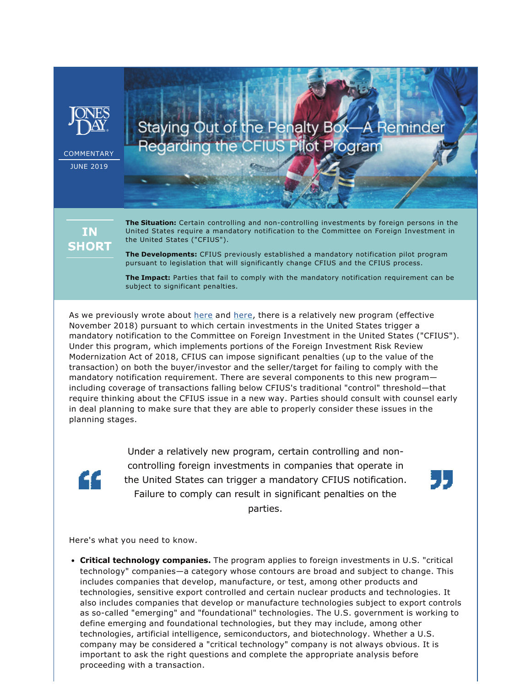

**COMMENTARY** 

JUNE 2019

Staying Out of the Penalty Box-A Reminder Regarding the CFIUS Pilot Program

**IN SHORT**  **The Situation:** Certain controlling and non-controlling investments by foreign persons in the United States require a mandatory notification to the Committee on Foreign Investment in the United States ("CFIUS").

**The Developments:** CFIUS previously established a mandatory notification pilot program pursuant to legislation that will significantly change CFIUS and the CFIUS process.

**The Impact:** Parties that fail to comply with the mandatory notification requirement can be subject to significant penalties.

As we previously wrote about [here](https://www.jonesday.com/key-takeaways-from-the-first-two-months-of-mandatory-cfius-declarations-01-15-2019/) and here, there is a relatively new program (effective November 2018) pursuant to which certain investments in the United States trigger a mandatory notification to the Committee on Foreign Investment in the United States ("CFIUS"). Under this program, which implements portions of the Foreign Investment Risk Review Modernization Act of 2018, CFIUS can impose significant penalties (up to the value of the transaction) on both the buyer/investor and the seller/target for failing to comply with the mandatory notification requirement. There are several components to this new program including coverage of transactions falling below CFIUS's traditional "control" threshold—that require thinking about the CFIUS issue in a new way. Parties should consult with counsel early in deal planning to make sure that they are able to properly consider these issues in the planning stages.

££

Under a relatively new program, certain controlling and noncontrolling foreign investments in companies that operate in the United States can trigger a mandatory CFIUS notification. Failure to comply can result in significant penalties on the parties.



Here's what you need to know.

• **Critical technology companies.** The program applies to foreign investments in U.S. "critical technology" companies—a category whose contours are broad and subject to change. This includes companies that develop, manufacture, or test, among other products and technologies, sensitive export controlled and certain nuclear products and technologies. It also includes companies that develop or manufacture technologies subject to export controls as socalled "emerging" and "foundational" technologies. The U.S. government is working to define emerging and foundational technologies, but they may include, among other technologies, artificial intelligence, semiconductors, and biotechnology. Whether a U.S. company may be considered a "critical technology" company is not always obvious. It is important to ask the right questions and complete the appropriate analysis before proceeding with a transaction.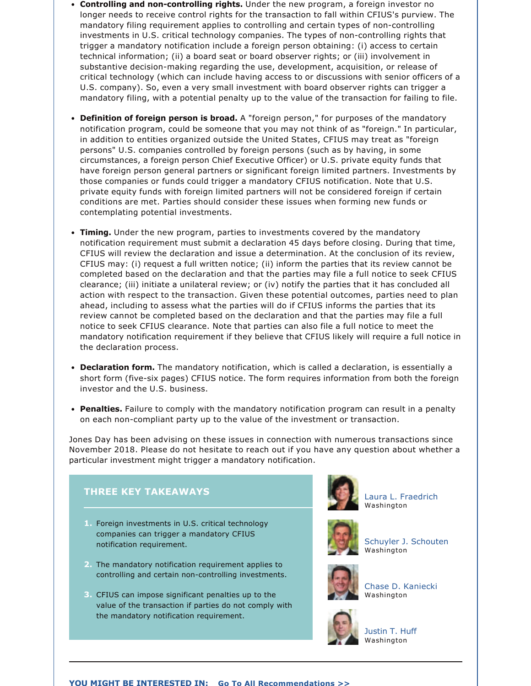- **Controlling and noncontrolling rights.** Under the new program, a foreign investor no longer needs to receive control rights for the transaction to fall within CFIUS's purview. The mandatory filing requirement applies to controlling and certain types of noncontrolling investments in U.S. critical technology companies. The types of non-controlling rights that trigger a mandatory notification include a foreign person obtaining: (i) access to certain technical information; (ii) a board seat or board observer rights; or (iii) involvement in substantive decision-making regarding the use, development, acquisition, or release of critical technology (which can include having access to or discussions with senior officers of a U.S. company). So, even a very small investment with board observer rights can trigger a mandatory filing, with a potential penalty up to the value of the transaction for failing to file.
- **Definition of foreign person is broad.** A "foreign person," for purposes of the mandatory notification program, could be someone that you may not think of as "foreign." In particular, in addition to entities organized outside the United States, CFIUS may treat as "foreign persons" U.S. companies controlled by foreign persons (such as by having, in some circumstances, a foreign person Chief Executive Officer) or U.S. private equity funds that have foreign person general partners or significant foreign limited partners. Investments by those companies or funds could trigger a mandatory CFIUS notification. Note that U.S. private equity funds with foreign limited partners will not be considered foreign if certain conditions are met. Parties should consider these issues when forming new funds or contemplating potential investments.
- **Timing.** Under the new program, parties to investments covered by the mandatory notification requirement must submit a declaration 45 days before closing. During that time, CFIUS will review the declaration and issue a determination. At the conclusion of its review, CFIUS may: (i) request a full written notice; (ii) inform the parties that its review cannot be completed based on the declaration and that the parties may file a full notice to seek CFIUS clearance; (iii) initiate a unilateral review; or (iv) notify the parties that it has concluded all action with respect to the transaction. Given these potential outcomes, parties need to plan ahead, including to assess what the parties will do if CFIUS informs the parties that its review cannot be completed based on the declaration and that the parties may file a full notice to seek CFIUS clearance. Note that parties can also file a full notice to meet the mandatory notification requirement if they believe that CFIUS likely will require a full notice in the declaration process.
- **Declaration form.** The mandatory notification, which is called a declaration, is essentially a short form (five-six pages) CFIUS notice. The form requires information from both the foreign investor and the U.S. business.
- **Penalties.** Failure to comply with the mandatory notification program can result in a penalty on each non-compliant party up to the value of the investment or transaction.

Jones Day has been advising on these issues in connection with numerous transactions since November 2018. Please do not hesitate to reach out if you have any question about whether a particular investment might trigger a mandatory notification.



[Laura L. Fraedrich](https://www.jonesday.com/lfraedrich/) Washington

[Schuyler J. Schouten](https://www.jonesday.com/sschouten/) Washington

[Chase D. Kaniecki](https://www.jonesday.com/ckaniecki/) Washington



[Justin T. Huff](https://www.jonesday.com/jthuff/) Washington

## **YOU MIGHT BE INTERESTED IN: [Go To All Recommendations >>](https://www.jonesday.com/government_regulation/?section=Publications)**